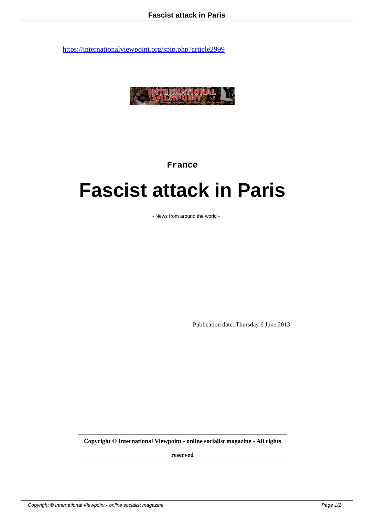

**France**

## **Fascist attack in Paris**

- News from around the world -

Publication date: Thursday 6 June 2013

**Copyright © International Viewpoint - online socialist magazine - All rights**

**reserved**